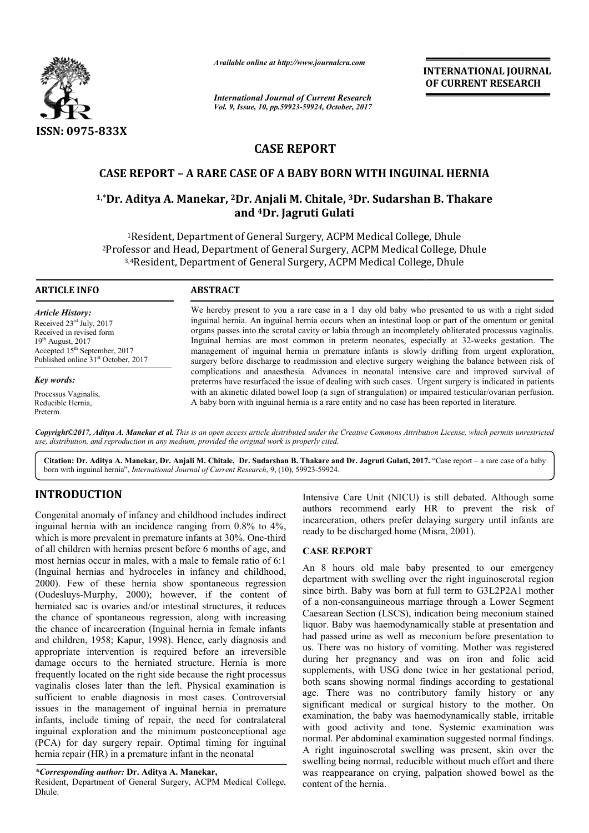

*Available online at http://www.journalcra.com*

*International Journal of Current Research Vol. 9, Issue, 10, pp.59923-59924, October, 2017* **INTERNATIONAL JOURNAL OF CURRENT RESEARCH** 

# **CASE REPORT**

# **CASE REPORT – A RARE CASE OF A BABY BORN WITH INGUINAL HERNIA**

# CASE REPORT - A RARE CASE OF A BABY BORN WITH INGUINAL HERNIA<br><sup>1,\*</sup>Dr. Aditya A. Manekar, <sup>2</sup>Dr. Anjali M. Chitale, <sup>3</sup>Dr. Sudarshan B. Thakare **and 4Dr. Jagruti Gulati**

<sup>1</sup>Resident, Department of General Surgery, ACPM Medical College, Dhule 2Professor and Head, Department of General Surgery, ACPM Medical College, Dhule Professor and Head, Department of General Surgery, ACPM Medical College, D<br><sup>3,4</sup>Resident, Department of General Surgery, ACPM Medical College, Dhule

### **ARTICLE INFO ABSTRACT**

*Article History:* Received  $23<sup>rd</sup>$  July, 2017 Received in revised form  $19<sup>th</sup>$  August, 2017 Accepted 15<sup>th</sup> September, 2017 Published online 31<sup>st</sup> October, 2017

*Key words:*

Processus Vaginalis, Reducible Hernia, Preterm.

We hereby present to you a rare case in a 1 day old baby who presented to us with a right sided inguinal hernia. An inguinal hernia occurs when an intestinal loop or part of the omentum or genital organs passes into the scrotal cavity or labia through an incompletely obliterated processus vaginalis. We hereby present to you a rare case in a 1 day old baby who presented to us with a right sided inguinal hernia. An inguinal hernia occurs when an intestinal loop or part of the omentum or genital organs passes into the sc management of inguinal hernia in premature infants is slowly drifting from urgent exploration, surgery before discharge to readmission and elective surgery weighing the balance between risk of complications and anaesthesia. Advances in neonatal intensive care and improved survival of preterms have resurfaced the issue of dealing with such cases. Urgent surgery is indicated in patients with an akinetic dilated bowel loop (a sign of strangulation) or impaired testicular/ovarian perfusion. A baby born with inguinal hernia is a rare entity and no case has been reported in literature. before discharge to readmission and elective surgery weighing the balance between risk<br>ations and anaesthesia. Advances in neonatal intensive care and improved survival<br>s have resurfaced the issue of dealing with such case

*Copyright©2017, Aditya A. Manekar et al. This is an open access article distributed under the Creative Commons Att Attribution License, which ribution permits unrestricted use, distribution, and reproduction in any medium, provided the original work is properly cited.*

**Citation: Dr. Aditya A. Manekar, Dr. Anjali M. Chitale, Dr. Sudarshan B. Thakare and Dr. Jagruti Gulati, 2017.** "Case report – a rare case of a baby born with inguinal hernia", *International Journal of Current Research* , 9, (10), 59923-59924.

# **INTRODUCTION**

Congenital anomaly of infancy and childhood includes indirect inguinal hernia with an incidence ranging from 0.8% to 4%, which is more prevalent in premature infants at 30%. One-third of all children with hernias present before 6 months of age, and most hernias occur in males, with a male to female ratio of 6:1 (Inguinal hernias and hydroceles in infancy and childhood Inguinal childhood, 2000). Few of these hernia show spontaneous regression (Oudesluys-Murphy, 2000); however, if the content of herniated sac is ovaries and/or intestinal structures, it reduces the chance of spontaneous regression, along with increasing the chance of incarceration (Inguinal hernia in female infants and children, 1958; Kapur, 1998). Hence, early diagnosis and appropriate intervention is required before an irreversible damage occurs to the herniated structure. Hernia is more frequently located on the right side because the right processus vaginalis closes later than the left. Physica sufficient to enable diagnosis in most cases. Controversial issues in the management of inguinal hernia in premature infants, include timing of repair, the need for contralateral inguinal exploration and the minimum postconceptional age (PCA) for day surgery repair. Optimal timing for inguinal hernia repair (HR) in a premature infant in the neonatal Inguinal hernia in female infants<br>998). Hence, early diagnosis and<br>required before an irreversible<br>iated structure. Hernia is more<br>t side because the right processus<br>he left. Physical examination is

*\*Corresponding author:* **Dr. Aditya A. Manekar Manekar,**

Resident, Department of General Surgery, ACPM Medical College, Dhule.

Intensive Care Unit (NICU) is still debated. Although some authors recommend early HR to prevent the risk of incarceration, others prefer delaying surgery until infants are ready to be discharged home (Misra, 2001). (NICU) is still debated. Althou<br>early HR to prevent the<br>prefer delaying surgery until in<br>d home (Misra, 2001).

## **CASE REPORT**

An 8 hours old male baby presented to our emergency department with swelling over the right inguinoscrotal region since birth. Baby was born at full term to G3L2P2A1 mother of a non-consanguineous marriage through a Lower Segment Caesarean Section (LSCS), indication being meconium stained liquor. Baby was haemodynamically stable at presentation and had passed urine as well as meconium before presentation to us. There was no history of vomiting. Mother was registered during her pregnancy and was on iron and folic acid supplements, with USG done twice in her gestational period, both scans showing normal findings according to gestational age. There was no contributory family history or any significant medical or surgical history to the mother. On examination, the baby was haemodynamically stable, irritable with good activity and tone. Systemic examination was normal. Per abdominal examination suggested normal findings. A right inguinoscrotal swelling was present, skin over the swelling being normal, reducible without much effort and there was reappearance on crying, palpation showed bowel as the content of the hernia. An 8 hours old male baby presented to our emergency department with swelling over the right inguinoscrotal region since birth. Baby was born at full term to G3L2P2A1 mother of a non-consanguineous marriage through a Lower plements, with USG done twice in her gestational period, h scans showing normal findings according to gestational e. There was no contributory family history or any inficant medical or surgical history to the mother. On mi **INTERNATIONAL JOURNAL OF CURRENT RESEARCH**<br> **OF CURRENT RESEARCH**<br> **OF CURRENT RESEARCH**<br> **OF CURRENT RESEARCH**<br>
IEC II (MOUINAL HERNIA<br> **UDE Medical College, Dhule**<br>
Interstinal loop or part of the omentum or genital is<br>